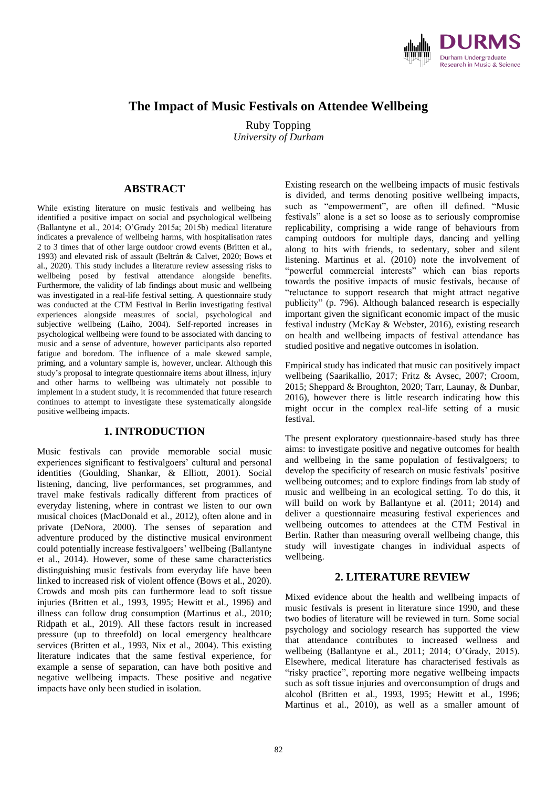

# **The Impact of Music Festivals on Attendee Wellbeing**

Ruby Topping *University of Durham*

# **ABSTRACT**

While existing literature on music festivals and wellbeing has identified a positive impact on social and psychological wellbeing (Ballantyne et al., 2014; O'Grady 2015a; 2015b) medical literature indicates a prevalence of wellbeing harms, with hospitalisation rates 2 to 3 times that of other large outdoor crowd events (Britten et al., 1993) and elevated risk of assault (Beltrán & Calvet, 2020; Bows et al., 2020). This study includes a literature review assessing risks to wellbeing posed by festival attendance alongside benefits. Furthermore, the validity of lab findings about music and wellbeing was investigated in a real-life festival setting. A questionnaire study was conducted at the CTM Festival in Berlin investigating festival experiences alongside measures of social, psychological and subjective wellbeing (Laiho, 2004). Self-reported increases in psychological wellbeing were found to be associated with dancing to music and a sense of adventure, however participants also reported fatigue and boredom. The influence of a male skewed sample, priming, and a voluntary sample is, however, unclear. Although this study's proposal to integrate questionnaire items about illness, injury and other harms to wellbeing was ultimately not possible to implement in a student study, it is recommended that future research continues to attempt to investigate these systematically alongside positive wellbeing impacts.

## **1. INTRODUCTION**

Music festivals can provide memorable social music experiences significant to festivalgoers' cultural and personal identities (Goulding, Shankar, & Elliott, 2001). Social listening, dancing, live performances, set programmes, and travel make festivals radically different from practices of everyday listening, where in contrast we listen to our own musical choices (MacDonald et al., 2012), often alone and in private (DeNora, 2000). The senses of separation and adventure produced by the distinctive musical environment could potentially increase festivalgoers' wellbeing (Ballantyne et al., 2014). However, some of these same characteristics distinguishing music festivals from everyday life have been linked to increased risk of violent offence (Bows et al., 2020). Crowds and mosh pits can furthermore lead to soft tissue injuries (Britten et al., 1993, 1995; Hewitt et al., 1996) and illness can follow drug consumption (Martinus et al., 2010; Ridpath et al., 2019). All these factors result in increased pressure (up to threefold) on local emergency healthcare services (Britten et al., 1993, Nix et al., 2004). This existing literature indicates that the same festival experience, for example a sense of separation, can have both positive and negative wellbeing impacts. These positive and negative impacts have only been studied in isolation.

Existing research on the wellbeing impacts of music festivals is divided, and terms denoting positive wellbeing impacts, such as "empowerment", are often ill defined. "Music festivals" alone is a set so loose as to seriously compromise replicability, comprising a wide range of behaviours from camping outdoors for multiple days, dancing and yelling along to hits with friends, to sedentary, sober and silent listening. Martinus et al. (2010) note the involvement of "powerful commercial interests" which can bias reports towards the positive impacts of music festivals, because of "reluctance to support research that might attract negative publicity" (p. 796). Although balanced research is especially important given the significant economic impact of the music festival industry (McKay & Webster, 2016), existing research on health and wellbeing impacts of festival attendance has studied positive and negative outcomes in isolation.

Empirical study has indicated that music can positively impact wellbeing (Saarikallio, 2017; Fritz & Avsec, 2007; Croom, 2015; Sheppard & Broughton, 2020; Tarr, Launay, & Dunbar, 2016), however there is little research indicating how this might occur in the complex real-life setting of a music festival.

The present exploratory questionnaire-based study has three aims: to investigate positive and negative outcomes for health and wellbeing in the same population of festivalgoers; to develop the specificity of research on music festivals' positive wellbeing outcomes; and to explore findings from lab study of music and wellbeing in an ecological setting. To do this, it will build on work by Ballantyne et al. (2011; 2014) and deliver a questionnaire measuring festival experiences and wellbeing outcomes to attendees at the CTM Festival in Berlin. Rather than measuring overall wellbeing change, this study will investigate changes in individual aspects of wellbeing.

## **2. LITERATURE REVIEW**

Mixed evidence about the health and wellbeing impacts of music festivals is present in literature since 1990, and these two bodies of literature will be reviewed in turn. Some social psychology and sociology research has supported the view that attendance contributes to increased wellness and wellbeing (Ballantyne et al., 2011; 2014; O'Grady, 2015). Elsewhere, medical literature has characterised festivals as "risky practice", reporting more negative wellbeing impacts such as soft tissue injuries and overconsumption of drugs and alcohol (Britten et al., 1993, 1995; Hewitt et al., 1996; Martinus et al., 2010), as well as a smaller amount of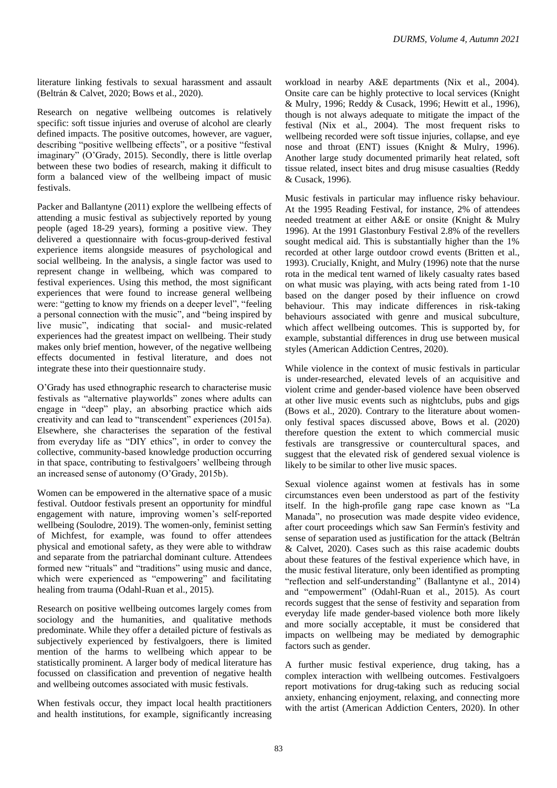literature linking festivals to sexual harassment and assault (Beltrán & Calvet, 2020; Bows et al., 2020).

Research on negative wellbeing outcomes is relatively specific: soft tissue injuries and overuse of alcohol are clearly defined impacts. The positive outcomes, however, are vaguer, describing "positive wellbeing effects", or a positive "festival imaginary" (O'Grady, 2015). Secondly, there is little overlap between these two bodies of research, making it difficult to form a balanced view of the wellbeing impact of music festivals.

Packer and Ballantyne (2011) explore the wellbeing effects of attending a music festival as subjectively reported by young people (aged 18-29 years), forming a positive view. They delivered a questionnaire with focus-group-derived festival experience items alongside measures of psychological and social wellbeing. In the analysis, a single factor was used to represent change in wellbeing, which was compared to festival experiences. Using this method, the most significant experiences that were found to increase general wellbeing were: "getting to know my friends on a deeper level", "feeling a personal connection with the music", and "being inspired by live music", indicating that social- and music-related experiences had the greatest impact on wellbeing. Their study makes only brief mention, however, of the negative wellbeing effects documented in festival literature, and does not integrate these into their questionnaire study.

O'Grady has used ethnographic research to characterise music festivals as "alternative playworlds" zones where adults can engage in "deep" play, an absorbing practice which aids creativity and can lead to "transcendent" experiences (2015a). Elsewhere, she characterises the separation of the festival from everyday life as "DIY ethics", in order to convey the collective, community-based knowledge production occurring in that space, contributing to festivalgoers' wellbeing through an increased sense of autonomy (O'Grady, 2015b).

Women can be empowered in the alternative space of a music festival. Outdoor festivals present an opportunity for mindful engagement with nature, improving women's self-reported wellbeing (Soulodre, 2019). The women-only, feminist setting of Michfest, for example, was found to offer attendees physical and emotional safety, as they were able to withdraw and separate from the patriarchal dominant culture. Attendees formed new "rituals" and "traditions" using music and dance, which were experienced as "empowering" and facilitating healing from trauma (Odahl-Ruan et al., 2015).

Research on positive wellbeing outcomes largely comes from sociology and the humanities, and qualitative methods predominate. While they offer a detailed picture of festivals as subjectively experienced by festivalgoers, there is limited mention of the harms to wellbeing which appear to be statistically prominent. A larger body of medical literature has focussed on classification and prevention of negative health and wellbeing outcomes associated with music festivals.

When festivals occur, they impact local health practitioners and health institutions, for example, significantly increasing workload in nearby A&E departments (Nix et al., 2004). Onsite care can be highly protective to local services (Knight & Mulry, 1996; Reddy & Cusack, 1996; Hewitt et al., 1996), though is not always adequate to mitigate the impact of the festival (Nix et al., 2004). The most frequent risks to wellbeing recorded were soft tissue injuries, collapse, and eye nose and throat (ENT) issues (Knight & Mulry, 1996). Another large study documented primarily heat related, soft tissue related, insect bites and drug misuse casualties (Reddy & Cusack, 1996).

Music festivals in particular may influence risky behaviour. At the 1995 Reading Festival, for instance, 2% of attendees needed treatment at either A&E or onsite (Knight & Mulry 1996). At the 1991 Glastonbury Festival 2.8% of the revellers sought medical aid. This is substantially higher than the 1% recorded at other large outdoor crowd events (Britten et al., 1993). Crucially, Knight, and Mulry (1996) note that the nurse rota in the medical tent warned of likely casualty rates based on what music was playing, with acts being rated from 1-10 based on the danger posed by their influence on crowd behaviour. This may indicate differences in risk-taking behaviours associated with genre and musical subculture, which affect wellbeing outcomes. This is supported by, for example, substantial differences in drug use between musical styles (American Addiction Centres, 2020).

While violence in the context of music festivals in particular is under-researched, elevated levels of an acquisitive and violent crime and gender-based violence have been observed at other live music events such as nightclubs, pubs and gigs (Bows et al., 2020). Contrary to the literature about womenonly festival spaces discussed above, Bows et al. (2020) therefore question the extent to which commercial music festivals are transgressive or countercultural spaces, and suggest that the elevated risk of gendered sexual violence is likely to be similar to other live music spaces.

Sexual violence against women at festivals has in some circumstances even been understood as part of the festivity itself. In the high-profile gang rape case known as "La Manada", no prosecution was made despite video evidence, after court proceedings which saw San Fermín's festivity and sense of separation used as justification for the attack (Beltrán & Calvet, 2020). Cases such as this raise academic doubts about these features of the festival experience which have, in the music festival literature, only been identified as prompting "reflection and self-understanding" (Ballantyne et al., 2014) and "empowerment" (Odahl-Ruan et al., 2015). As court records suggest that the sense of festivity and separation from everyday life made gender-based violence both more likely and more socially acceptable, it must be considered that impacts on wellbeing may be mediated by demographic factors such as gender.

A further music festival experience, drug taking, has a complex interaction with wellbeing outcomes. Festivalgoers report motivations for drug-taking such as reducing social anxiety, enhancing enjoyment, relaxing, and connecting more with the artist (American Addiction Centers, 2020). In other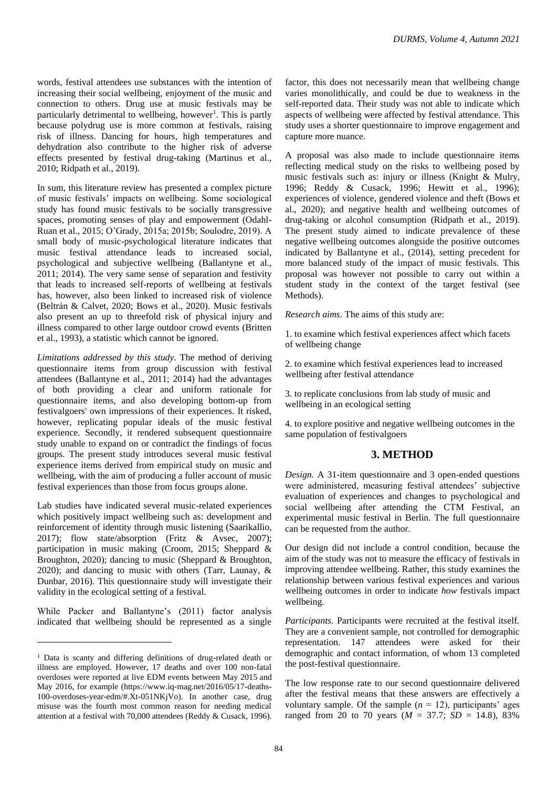words, festival attendees use substances with the intention of increasing their social wellbeing, enjoyment of the music and connection to others. Drug use at music festivals may be particularly detrimental to wellbeing, however<sup>1</sup>. This is partly because polydrug use is more common at festivals, raising risk of illness. Dancing for hours, high temperatures and dehydration also contribute to the higher risk of adverse effects presented by festival drug-taking (Martinus et al., 2010; Ridpath et al., 2019).

In sum, this literature review has presented a complex picture of music festivals' impacts on wellbeing. Some sociological study has found music festivals to be socially transgressive spaces, promoting senses of play and empowerment (Odahl-Ruan et al., 2015; O'Grady, 2015a; 2015b; Soulodre, 2019). A small body of music-psychological literature indicates that music festival attendance leads to increased social, psychological and subjective wellbeing (Ballantyne et al., 2011; 2014). The very same sense of separation and festivity that leads to increased self-reports of wellbeing at festivals has, however, also been linked to increased risk of violence (Beltrán & Calvet, 2020; Bows et al., 2020). Music festivals also present an up to threefold risk of physical injury and illness compared to other large outdoor crowd events (Britten et al., 1993), a statistic which cannot be ignored.

*Limitations addressed by this study.* The method of deriving questionnaire items from group discussion with festival attendees (Ballantyne et al., 2011; 2014) had the advantages of both providing a clear and uniform rationale for questionnaire items, and also developing bottom-up from festivalgoers' own impressions of their experiences. It risked, however, replicating popular ideals of the music festival experience. Secondly, it rendered subsequent questionnaire study unable to expand on or contradict the findings of focus groups. The present study introduces several music festival experience items derived from empirical study on music and wellbeing, with the aim of producing a fuller account of music festival experiences than those from focus groups alone.

Lab studies have indicated several music-related experiences which positively impact wellbeing such as: development and reinforcement of identity through music listening (Saarikallio, 2017); flow state/absorption (Fritz & Avsec, 2007); participation in music making (Croom, 2015; Sheppard & Broughton, 2020); dancing to music (Sheppard & Broughton, 2020); and dancing to music with others (Tarr, Launay, & Dunbar, 2016). This questionnaire study will investigate their validity in the ecological setting of a festival.

While Packer and Ballantyne's (2011) factor analysis indicated that wellbeing should be represented as a single factor, this does not necessarily mean that wellbeing change varies monolithically, and could be due to weakness in the self-reported data. Their study was not able to indicate which aspects of wellbeing were affected by festival attendance. This study uses a shorter questionnaire to improve engagement and capture more nuance.

A proposal was also made to include questionnaire items reflecting medical study on the risks to wellbeing posed by music festivals such as: injury or illness (Knight & Mulry, 1996; Reddy & Cusack, 1996; Hewitt et al., 1996); experiences of violence, gendered violence and theft (Bows et al., 2020); and negative health and wellbeing outcomes of drug-taking or alcohol consumption (Ridpath et al., 2019). The present study aimed to indicate prevalence of these negative wellbeing outcomes alongside the positive outcomes indicated by Ballantyne et al., (2014), setting precedent for more balanced study of the impact of music festivals. This proposal was however not possible to carry out within a student study in the context of the target festival (see Methods).

*Research aims.* The aims of this study are:

1. to examine which festival experiences affect which facets of wellbeing change

2. to examine which festival experiences lead to increased wellbeing after festival attendance

3. to replicate conclusions from lab study of music and wellbeing in an ecological setting

4. to explore positive and negative wellbeing outcomes in the same population of festivalgoers

# **3. METHOD**

*Design.* A 31-item questionnaire and 3 open-ended questions were administered, measuring festival attendees' subjective evaluation of experiences and changes to psychological and social wellbeing after attending the CTM Festival, an experimental music festival in Berlin. The full questionnaire can be requested from the author.

Our design did not include a control condition, because the aim of the study was not to measure the efficacy of festivals in improving attendee wellbeing. Rather, this study examines the relationship between various festival experiences and various wellbeing outcomes in order to indicate *how* festivals impact wellbeing.

*Participants.* Participants were recruited at the festival itself. They are a convenient sample, not controlled for demographic representation. 147 attendees were asked for their demographic and contact information, of whom 13 completed the post-festival questionnaire.

The low response rate to our second questionnaire delivered after the festival means that these answers are effectively a voluntary sample. Of the sample  $(n = 12)$ , participants' ages ranged from 20 to 70 years ( $M = 37.7$ ;  $SD = 14.8$ ), 83%

<sup>&</sup>lt;sup>1</sup> Data is scanty and differing definitions of drug-related death or illness are employed. However, 17 deaths and over 100 non-fatal overdoses were reported at live EDM events between May 2015 and May 2016, for example (https://www.iq-mag.net/2016/05/17-deaths-100-overdoses-year-edm/#.Xt-051NKjVo). In another case, drug misuse was the fourth most common reason for needing medical attention at a festival with 70,000 attendees (Reddy & Cusack, 1996).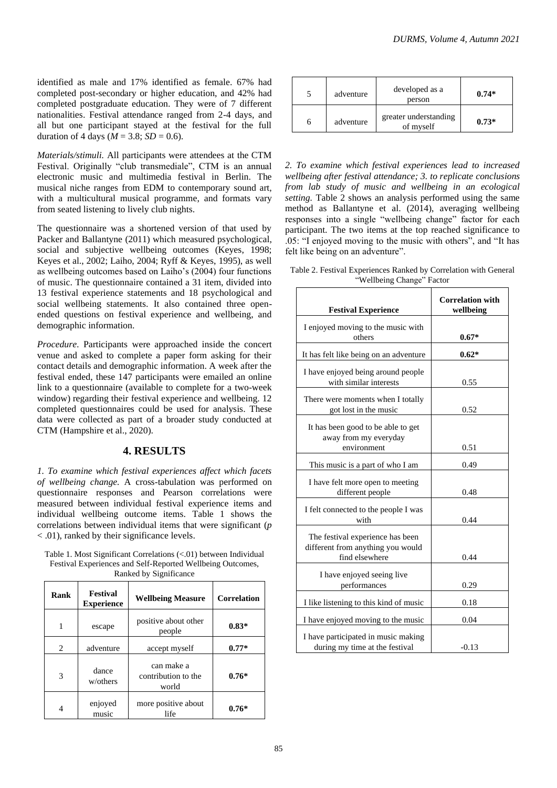identified as male and 17% identified as female. 67% had completed post-secondary or higher education, and 42% had completed postgraduate education. They were of 7 different nationalities. Festival attendance ranged from 2-4 days, and all but one participant stayed at the festival for the full duration of 4 days ( $M = 3.8$ ;  $SD = 0.6$ ).

*Materials/stimuli.* All participants were attendees at the CTM Festival. Originally "club transmediale", CTM is an annual electronic music and multimedia festival in Berlin. The musical niche ranges from EDM to contemporary sound art, with a multicultural musical programme, and formats vary from seated listening to lively club nights.

The questionnaire was a shortened version of that used by Packer and Ballantyne (2011) which measured psychological, social and subjective wellbeing outcomes (Keyes, 1998; Keyes et al., 2002; Laiho, 2004; Ryff & Keyes, 1995), as well as wellbeing outcomes based on Laiho's (2004) four functions of music. The questionnaire contained a 31 item, divided into 13 festival experience statements and 18 psychological and social wellbeing statements. It also contained three openended questions on festival experience and wellbeing, and demographic information.

*Procedure.* Participants were approached inside the concert venue and asked to complete a paper form asking for their contact details and demographic information. A week after the festival ended, these 147 participants were emailed an online link to a questionnaire (available to complete for a two-week window) regarding their festival experience and wellbeing. 12 completed questionnaires could be used for analysis. These data were collected as part of a broader study conducted at CTM (Hampshire et al., 2020).

## **4. RESULTS**

*1. To examine which festival experiences affect which facets of wellbeing change.* A cross-tabulation was performed on questionnaire responses and Pearson correlations were measured between individual festival experience items and individual wellbeing outcome items. Table 1 shows the correlations between individual items that were significant (*p*  < .01), ranked by their significance levels.

| Table 1. Most Significant Correlations (<.01) between Individual |
|------------------------------------------------------------------|
| Festival Experiences and Self-Reported Wellbeing Outcomes,       |
| Ranked by Significance                                           |

| Rank | Festival<br><b>Experience</b> | <b>Wellbeing Measure</b>                   | <b>Correlation</b> |
|------|-------------------------------|--------------------------------------------|--------------------|
| 1    | escape                        | positive about other<br>people             | $0.83*$            |
| 2    | adventure                     | accept myself                              | $0.77*$            |
| 3    | dance<br>w/others             | can make a<br>contribution to the<br>world | $0.76*$            |
| 4    | enjoyed<br>music              | more positive about<br>life                | $0.76*$            |

|   | adventure | developed as a<br>person           | $0.74*$ |
|---|-----------|------------------------------------|---------|
| h | adventure | greater understanding<br>of myself | $0.73*$ |

*2. To examine which festival experiences lead to increased wellbeing after festival attendance; 3. to replicate conclusions from lab study of music and wellbeing in an ecological setting.* Table 2 shows an analysis performed using the same method as Ballantyne et al. (2014), averaging wellbeing responses into a single "wellbeing change" factor for each participant. The two items at the top reached significance to .05: "I enjoyed moving to the music with others", and "It has felt like being on an adventure".

| Table 2. Festival Experiences Ranked by Correlation with General |
|------------------------------------------------------------------|
| "Wellbeing Change" Factor                                        |

| <b>Festival Experience</b>                                                              | <b>Correlation with</b><br>wellbeing |
|-----------------------------------------------------------------------------------------|--------------------------------------|
| I enjoyed moving to the music with<br>others                                            | $0.67*$                              |
| It has felt like being on an adventure                                                  | $0.62*$                              |
| I have enjoyed being around people<br>with similar interests                            | 0.55                                 |
| There were moments when I totally<br>got lost in the music                              | 0.52                                 |
| It has been good to be able to get<br>away from my everyday<br>environment              | 0.51                                 |
| This music is a part of who I am                                                        | 0.49                                 |
| I have felt more open to meeting<br>different people                                    | 0.48                                 |
| I felt connected to the people I was<br>with                                            | 0.44                                 |
| The festival experience has been<br>different from anything you would<br>find elsewhere | 0.44                                 |
| I have enjoyed seeing live<br>performances                                              | 0.29                                 |
| I like listening to this kind of music                                                  | 0.18                                 |
| I have enjoyed moving to the music                                                      | 0.04                                 |
| I have participated in music making<br>during my time at the festival                   | $-0.13$                              |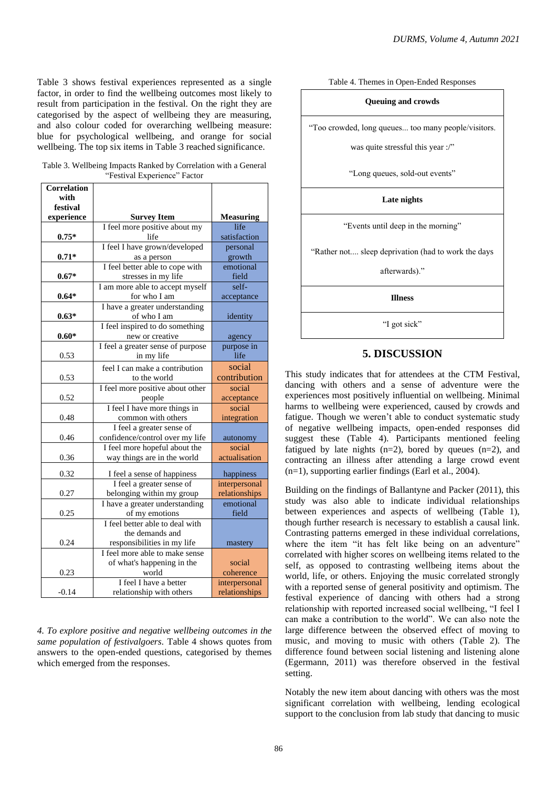Table 3 shows festival experiences represented as a single factor, in order to find the wellbeing outcomes most likely to result from participation in the festival. On the right they are categorised by the aspect of wellbeing they are measuring, and also colour coded for overarching wellbeing measure: blue for psychological wellbeing, and orange for social wellbeing. The top six items in Table 3 reached significance.

Table 3. Wellbeing Impacts Ranked by Correlation with a General "Festival Experience" Factor

| <b>Correlation</b> |                                   |                  |
|--------------------|-----------------------------------|------------------|
| with               |                                   |                  |
| festival           |                                   |                  |
| experience         | <b>Survey Item</b>                | <b>Measuring</b> |
|                    | I feel more positive about my     | life             |
| $0.75*$            | life                              | satisfaction     |
|                    | I feel I have grown/developed     | personal         |
| $0.71*$            | as a person                       | growth           |
|                    | I feel better able to cope with   | emotional        |
| $0.67*$            | stresses in my life               | field            |
|                    | I am more able to accept myself   | self-            |
| $0.64*$            | for who I am                      | acceptance       |
|                    | I have a greater understanding    |                  |
| $0.63*$            | of who I am                       | identity         |
|                    | I feel inspired to do something   |                  |
| $0.60*$            | new or creative                   | agency           |
|                    | I feel a greater sense of purpose | purpose in       |
| 0.53               | in my life                        | life             |
|                    | feel I can make a contribution    | social           |
| 0.53               | to the world                      | contribution     |
|                    | I feel more positive about other  | social           |
| 0.52               | people                            | acceptance       |
|                    | I feel I have more things in      | social           |
| 0.48               | common with others                | integration      |
|                    | I feel a greater sense of         |                  |
| 0.46               | confidence/control over my life   | autonomy         |
|                    | I feel more hopeful about the     | social           |
| 0.36               | way things are in the world       | actualisation    |
| 0.32               | I feel a sense of happiness       | happiness        |
|                    | I feel a greater sense of         | interpersonal    |
| 0.27               | belonging within my group         | relationships    |
|                    | I have a greater understanding    | emotional        |
| 0.25               | of my emotions                    | field            |
|                    | I feel better able to deal with   |                  |
|                    | the demands and                   |                  |
| 0.24               | responsibilities in my life       | mastery          |
|                    | I feel more able to make sense    |                  |
|                    | of what's happening in the        | social           |
| 0.23               | world                             | coherence        |
|                    | I feel I have a better            | interpersonal    |
| $-0.14$            | relationship with others          | relationships    |

*4. To explore positive and negative wellbeing outcomes in the same population of festivalgoers.* Table 4 shows quotes from answers to the open-ended questions, categorised by themes which emerged from the responses.

Table 4. Themes in Open-Ended Responses

#### **Queuing and crowds**

"Too crowded, long queues... too many people/visitors.

was quite stressful this year :/"

"Long queues, sold-out events"

### **Late nights**

"Events until deep in the morning"

"Rather not.... sleep deprivation (had to work the days

afterwards)."

**Illness**

"I got sick"

# **5. DISCUSSION**

This study indicates that for attendees at the CTM Festival, dancing with others and a sense of adventure were the experiences most positively influential on wellbeing. Minimal harms to wellbeing were experienced, caused by crowds and fatigue. Though we weren't able to conduct systematic study of negative wellbeing impacts, open-ended responses did suggest these (Table 4). Participants mentioned feeling fatigued by late nights  $(n=2)$ , bored by queues  $(n=2)$ , and contracting an illness after attending a large crowd event (n=1), supporting earlier findings (Earl et al., 2004).

Building on the findings of Ballantyne and Packer (2011), this study was also able to indicate individual relationships between experiences and aspects of wellbeing (Table 1), though further research is necessary to establish a causal link. Contrasting patterns emerged in these individual correlations, where the item "it has felt like being on an adventure" correlated with higher scores on wellbeing items related to the self, as opposed to contrasting wellbeing items about the world, life, or others. Enjoying the music correlated strongly with a reported sense of general positivity and optimism. The festival experience of dancing with others had a strong relationship with reported increased social wellbeing, "I feel I can make a contribution to the world". We can also note the large difference between the observed effect of moving to music, and moving to music with others (Table 2). The difference found between social listening and listening alone (Egermann, 2011) was therefore observed in the festival setting.

Notably the new item about dancing with others was the most significant correlation with wellbeing, lending ecological support to the conclusion from lab study that dancing to music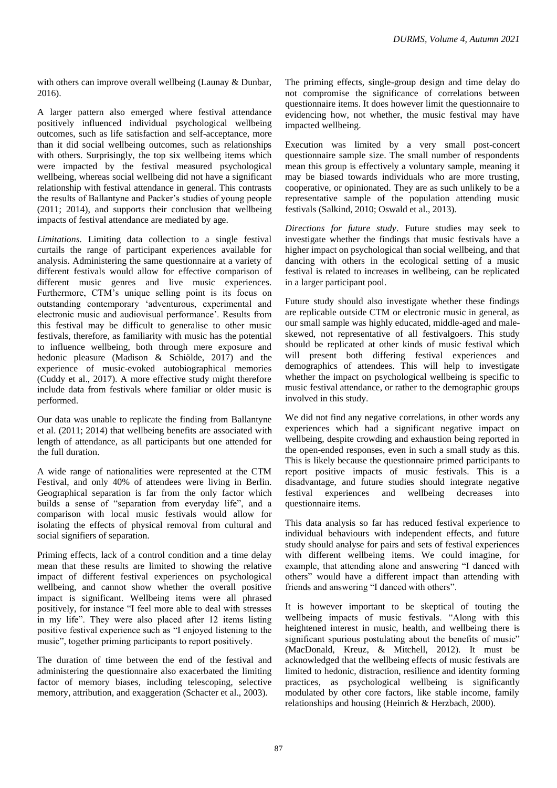with others can improve overall wellbeing (Launay & Dunbar, 2016).

A larger pattern also emerged where festival attendance positively influenced individual psychological wellbeing outcomes, such as life satisfaction and self-acceptance, more than it did social wellbeing outcomes, such as relationships with others. Surprisingly, the top six wellbeing items which were impacted by the festival measured psychological wellbeing, whereas social wellbeing did not have a significant relationship with festival attendance in general. This contrasts the results of Ballantyne and Packer's studies of young people (2011; 2014), and supports their conclusion that wellbeing impacts of festival attendance are mediated by age.

*Limitations.* Limiting data collection to a single festival curtails the range of participant experiences available for analysis. Administering the same questionnaire at a variety of different festivals would allow for effective comparison of different music genres and live music experiences. Furthermore, CTM's unique selling point is its focus on outstanding contemporary 'adventurous, experimental and electronic music and audiovisual performance'. Results from this festival may be difficult to generalise to other music festivals, therefore, as familiarity with music has the potential to influence wellbeing, both through mere exposure and hedonic pleasure (Madison & Schiölde, 2017) and the experience of music-evoked autobiographical memories (Cuddy et al., 2017). A more effective study might therefore include data from festivals where familiar or older music is performed.

Our data was unable to replicate the finding from Ballantyne et al. (2011; 2014) that wellbeing benefits are associated with length of attendance, as all participants but one attended for the full duration.

A wide range of nationalities were represented at the CTM Festival, and only 40% of attendees were living in Berlin. Geographical separation is far from the only factor which builds a sense of "separation from everyday life", and a comparison with local music festivals would allow for isolating the effects of physical removal from cultural and social signifiers of separation.

Priming effects, lack of a control condition and a time delay mean that these results are limited to showing the relative impact of different festival experiences on psychological wellbeing, and cannot show whether the overall positive impact is significant. Wellbeing items were all phrased positively, for instance "I feel more able to deal with stresses in my life". They were also placed after 12 items listing positive festival experience such as "I enjoyed listening to the music", together priming participants to report positively.

The duration of time between the end of the festival and administering the questionnaire also exacerbated the limiting factor of memory biases, including telescoping, selective memory, attribution, and exaggeration (Schacter et al., 2003).

The priming effects, single-group design and time delay do not compromise the significance of correlations between questionnaire items. It does however limit the questionnaire to evidencing how, not whether, the music festival may have impacted wellbeing.

Execution was limited by a very small post-concert questionnaire sample size. The small number of respondents mean this group is effectively a voluntary sample, meaning it may be biased towards individuals who are more trusting, cooperative, or opinionated. They are as such unlikely to be a representative sample of the population attending music festivals (Salkind, 2010; Oswald et al., 2013).

*Directions for future study*. Future studies may seek to investigate whether the findings that music festivals have a higher impact on psychological than social wellbeing, and that dancing with others in the ecological setting of a music festival is related to increases in wellbeing, can be replicated in a larger participant pool.

Future study should also investigate whether these findings are replicable outside CTM or electronic music in general, as our small sample was highly educated, middle-aged and maleskewed, not representative of all festivalgoers. This study should be replicated at other kinds of music festival which will present both differing festival experiences and demographics of attendees. This will help to investigate whether the impact on psychological wellbeing is specific to music festival attendance, or rather to the demographic groups involved in this study.

We did not find any negative correlations, in other words any experiences which had a significant negative impact on wellbeing, despite crowding and exhaustion being reported in the open-ended responses, even in such a small study as this. This is likely because the questionnaire primed participants to report positive impacts of music festivals. This is a disadvantage, and future studies should integrate negative festival experiences and wellbeing decreases into questionnaire items.

This data analysis so far has reduced festival experience to individual behaviours with independent effects, and future study should analyse for pairs and sets of festival experiences with different wellbeing items. We could imagine, for example, that attending alone and answering "I danced with others" would have a different impact than attending with friends and answering "I danced with others".

It is however important to be skeptical of touting the wellbeing impacts of music festivals. "Along with this heightened interest in music, health, and wellbeing there is significant spurious postulating about the benefits of music" (MacDonald, Kreuz, & Mitchell, 2012). It must be acknowledged that the wellbeing effects of music festivals are limited to hedonic, distraction, resilience and identity forming practices, as psychological wellbeing is significantly modulated by other core factors, like stable income, family relationships and housing (Heinrich & Herzbach, 2000).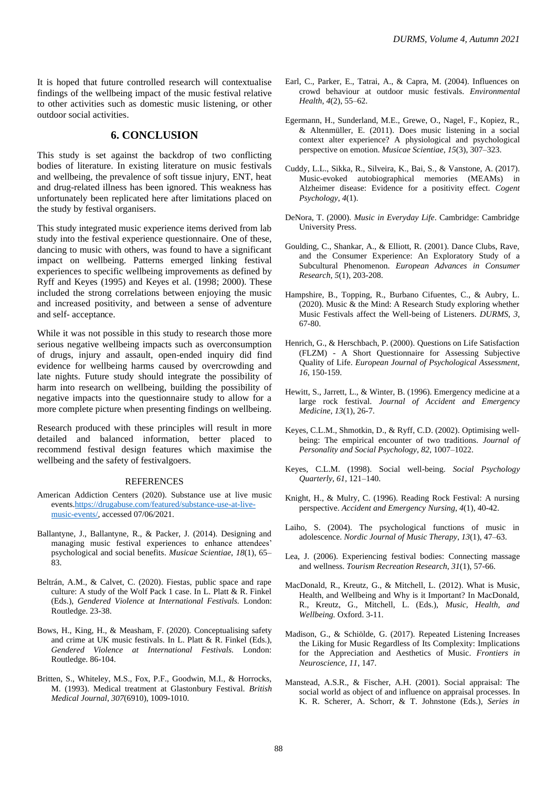It is hoped that future controlled research will contextualise findings of the wellbeing impact of the music festival relative to other activities such as domestic music listening, or other outdoor social activities.

# **6. CONCLUSION**

This study is set against the backdrop of two conflicting bodies of literature. In existing literature on music festivals and wellbeing, the prevalence of soft tissue injury, ENT, heat and drug-related illness has been ignored. This weakness has unfortunately been replicated here after limitations placed on the study by festival organisers.

This study integrated music experience items derived from lab study into the festival experience questionnaire. One of these, dancing to music with others, was found to have a significant impact on wellbeing. Patterns emerged linking festival experiences to specific wellbeing improvements as defined by Ryff and Keyes (1995) and Keyes et al. (1998; 2000). These included the strong correlations between enjoying the music and increased positivity, and between a sense of adventure and self- acceptance.

While it was not possible in this study to research those more serious negative wellbeing impacts such as overconsumption of drugs, injury and assault, open-ended inquiry did find evidence for wellbeing harms caused by overcrowding and late nights. Future study should integrate the possibility of harm into research on wellbeing, building the possibility of negative impacts into the questionnaire study to allow for a more complete picture when presenting findings on wellbeing.

Research produced with these principles will result in more detailed and balanced information, better placed to recommend festival design features which maximise the wellbeing and the safety of festivalgoers.

#### **REFERENCES**

- American Addiction Centers (2020). Substance use at live music events[.https://drugabuse.com/featured/substance-use-at-live](https://drugabuse.com/featured/substance-use-at-live-music-events/)[music-events/,](https://drugabuse.com/featured/substance-use-at-live-music-events/) accessed 07/06/2021.
- Ballantyne, J., Ballantyne, R., & Packer, J. (2014). Designing and managing music festival experiences to enhance attendees' psychological and social benefits. *Musicae Scientiae*, *18*(1), 65– 83.
- Beltrán, A.M., & Calvet, C. (2020). Fiestas, public space and rape culture: A study of the Wolf Pack 1 case. In L. Platt & R. Finkel (Eds.), *Gendered Violence at International Festivals.* London: Routledge. 23-38.
- Bows, H., King, H., & Measham, F. (2020). Conceptualising safety and crime at UK music festivals. In L. Platt & R. Finkel (Eds.), *Gendered Violence at International Festivals.* London: Routledge. 86-104.
- Britten, S., Whiteley, M.S., Fox, P.F., Goodwin, M.I., & Horrocks, M. (1993). Medical treatment at Glastonbury Festival. *British Medical Journal*, *307*(6910), 1009-1010.
- Earl, C., Parker, E., Tatrai, A., & Capra, M. (2004). Influences on crowd behaviour at outdoor music festivals. *Environmental Health*, *4*(2), 55–62.
- Egermann, H., Sunderland, M.E., Grewe, O., Nagel, F., Kopiez, R., & Altenmüller, E. (2011). Does music listening in a social context alter experience? A physiological and psychological perspective on emotion. *Musicae Scientiae*, *15*(3), 307–323.
- Cuddy, L.L., Sikka, R., Silveira, K., Bai, S., & Vanstone, A. (2017). Music-evoked autobiographical memories (MEAMs) in Alzheimer disease: Evidence for a positivity effect. *Cogent Psychology*, *4*(1).
- DeNora, T. (2000). *Music in Everyday Life*. Cambridge: Cambridge University Press.
- Goulding, C., Shankar, A., & Elliott, R. (2001). Dance Clubs, Rave, and the Consumer Experience: An Exploratory Study of a Subcultural Phenomenon. *European Advances in Consumer Research, 5*(1), 203-208.
- Hampshire, B., Topping, R., Burbano Cifuentes, C., & Aubry, L.  $(2020)$ . Music  $\&$  the Mind: A Research Study exploring whether Music Festivals affect the Well-being of Listeners. *DURMS*, *3*, 67-80.
- Henrich, G., & Herschbach, P. (2000). Questions on Life Satisfaction (FLZM) - A Short Questionnaire for Assessing Subjective Quality of Life. *European Journal of Psychological Assessment*, *16*, 150-159.
- Hewitt, S., Jarrett, L., & Winter, B. (1996). Emergency medicine at a large rock festival. *Journal of Accident and Emergency Medicine*, *13*(1), 26-7.
- Keyes, C.L.M., Shmotkin, D., & Ryff, C.D. (2002). Optimising wellbeing: The empirical encounter of two traditions. *Journal of Personality and Social Psychology*, *82*, 1007–1022.
- Keyes, C.L.M. (1998). Social well-being. *Social Psychology Quarterly*, *61*, 121–140.
- Knight, H., & Mulry, C. (1996). Reading Rock Festival: A nursing perspective. *Accident and Emergency Nursing*, *4*(1), 40-42.
- Laiho, S. (2004). The psychological functions of music in adolescence. *Nordic Journal of Music Therapy*, *13*(1), 47–63.
- Lea, J. (2006). Experiencing festival bodies: Connecting massage and wellness. *Tourism Recreation Research*, *31*(1), 57-66.
- MacDonald, R., Kreutz, G., & Mitchell, L. (2012). What is Music, Health, and Wellbeing and Why is it Important? In MacDonald, R., Kreutz, G., Mitchell, L. (Eds.), *Music, Health, and Wellbeing.* Oxford. 3-11.
- Madison, G., & Schiölde, G. (2017). Repeated Listening Increases the Liking for Music Regardless of Its Complexity: Implications for the Appreciation and Aesthetics of Music. *Frontiers in Neuroscience*, *11*, 147.
- Manstead, A.S.R., & Fischer, A.H. (2001). Social appraisal: The social world as object of and influence on appraisal processes. In K. R. Scherer, A. Schorr, & T. Johnstone (Eds.), *Series in*